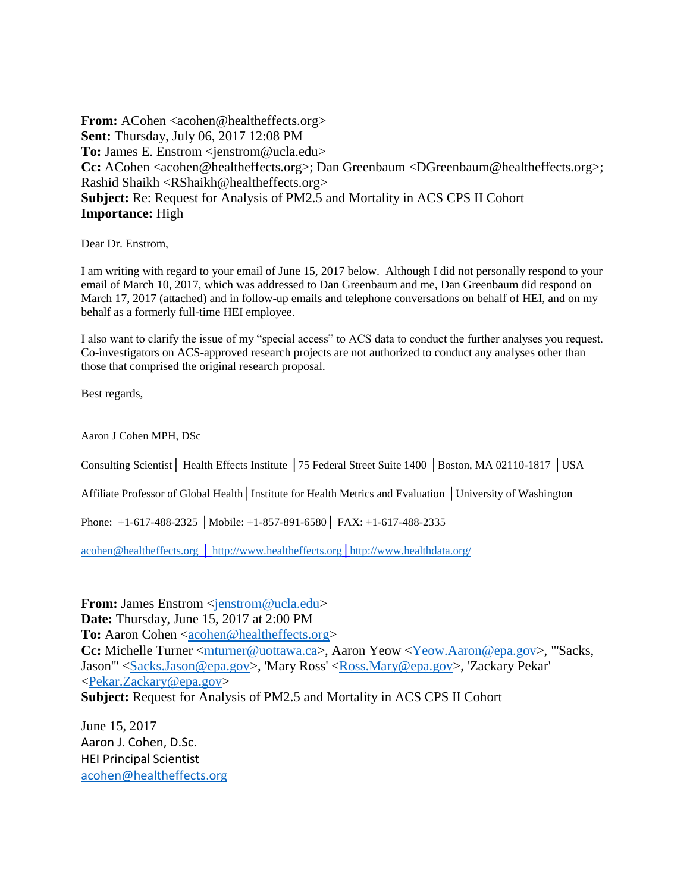**From:** ACohen <acohen@healtheffects.org> **Sent:** Thursday, July 06, 2017 12:08 PM **To:** James E. Enstrom <jenstrom@ucla.edu> **Cc:** ACohen <acohen@healtheffects.org>; Dan Greenbaum <DGreenbaum@healtheffects.org>; Rashid Shaikh <RShaikh@healtheffects.org> **Subject:** Re: Request for Analysis of PM2.5 and Mortality in ACS CPS II Cohort **Importance:** High

Dear Dr. Enstrom,

I am writing with regard to your email of June 15, 2017 below. Although I did not personally respond to your email of March 10, 2017, which was addressed to Dan Greenbaum and me, Dan Greenbaum did respond on March 17, 2017 (attached) and in follow-up emails and telephone conversations on behalf of HEI, and on my behalf as a formerly full-time HEI employee.

I also want to clarify the issue of my "special access" to ACS data to conduct the further analyses you request. Co-investigators on ACS-approved research projects are not authorized to conduct any analyses other than those that comprised the original research proposal.

Best regards,

Aaron J Cohen MPH, DSc

Consulting Scientist│ Health Effects Institute │75 Federal Street Suite 1400 │Boston, MA 02110-1817 │USA

Affiliate Professor of Global Health│Institute for Health Metrics and Evaluation │University of Washington

Phone: +1-617-488-2325 │Mobile: +1-857-891-6580│ FAX: +1-617-488-2335

[acohen@healtheffects.org](mailto:acohen@healtheffects.org) │ [http://www.healtheffects.org](http://www.healtheffects.org/)[│http://www.healthdata.org/](http://www.healthdata.org/)

**From:** James Enstrom <*jenstrom@ucla.edu>* **Date:** Thursday, June 15, 2017 at 2:00 PM To: Aaron Cohen [<acohen@healtheffects.org>](mailto:acohen@healtheffects.org) **Cc:** Michelle Turner [<mturner@uottawa.ca>](mailto:mturner@uottawa.ca), Aaron Yeow [<Yeow.Aaron@epa.gov>](mailto:Yeow.Aaron@epa.gov), "'Sacks, Jason'" [<Sacks.Jason@epa.gov>](mailto:Sacks.Jason@epa.gov), 'Mary Ross' [<Ross.Mary@epa.gov>](mailto:Ross.Mary@epa.gov), 'Zackary Pekar' [<Pekar.Zackary@epa.gov>](mailto:Pekar.Zackary@epa.gov) **Subject:** Request for Analysis of PM2.5 and Mortality in ACS CPS II Cohort

June 15, 2017 Aaron J. Cohen, D.Sc. HEI Principal Scientist [acohen@healtheffects.org](mailto:acohen@healtheffects.org)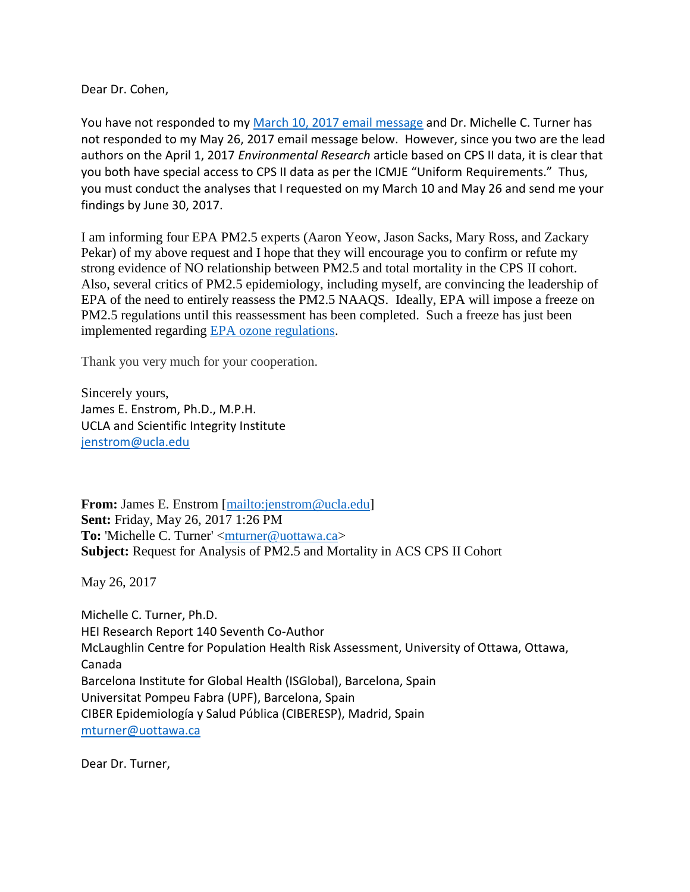Dear Dr. Cohen,

You have not responded to my [March 10, 2017 email message](http://www.scientificintegrityinstitute.org/greenbaum031017.pdf) and Dr. Michelle C. Turner has not responded to my May 26, 2017 email message below. However, since you two are the lead authors on the April 1, 2017 *Environmental Research* article based on CPS II data, it is clear that you both have special access to CPS II data as per the ICMJE "Uniform Requirements." Thus, you must conduct the analyses that I requested on my March 10 and May 26 and send me your findings by June 30, 2017.

I am informing four EPA PM2.5 experts (Aaron Yeow, Jason Sacks, Mary Ross, and Zackary Pekar) of my above request and I hope that they will encourage you to confirm or refute my strong evidence of NO relationship between PM2.5 and total mortality in the CPS II cohort. Also, several critics of PM2.5 epidemiology, including myself, are convincing the leadership of EPA of the need to entirely reassess the PM2.5 NAAQS. Ideally, EPA will impose a freeze on PM2.5 regulations until this reassessment has been completed. Such a freeze has just been implemented regarding [EPA ozone regulations.](http://thehill.com/policy/energy-environment/336663-epa-delays-obama-air-pollution-rule-deadline-by-one-year)

Thank you very much for your cooperation.

Sincerely yours, James E. Enstrom, Ph.D., M.P.H. UCLA and Scientific Integrity Institute [jenstrom@ucla.edu](mailto:jenstrom@ucla.edu)

**From:** James E. Enstrom [\[mailto:jenstrom@ucla.edu\]](mailto:jenstrom@ucla.edu) **Sent:** Friday, May 26, 2017 1:26 PM To: 'Michelle C. Turner' [<mturner@uottawa.ca>](mailto:mturner@uottawa.ca) **Subject:** Request for Analysis of PM2.5 and Mortality in ACS CPS II Cohort

May 26, 2017

Michelle C. Turner, Ph.D. HEI Research Report 140 Seventh Co-Author McLaughlin Centre for Population Health Risk Assessment, University of Ottawa, Ottawa, Canada Barcelona Institute for Global Health (ISGlobal), Barcelona, Spain Universitat Pompeu Fabra (UPF), Barcelona, Spain CIBER Epidemiología y Salud Pública (CIBERESP), Madrid, Spain [mturner@uottawa.ca](mailto:mturner@uottawa.ca)

Dear Dr. Turner,